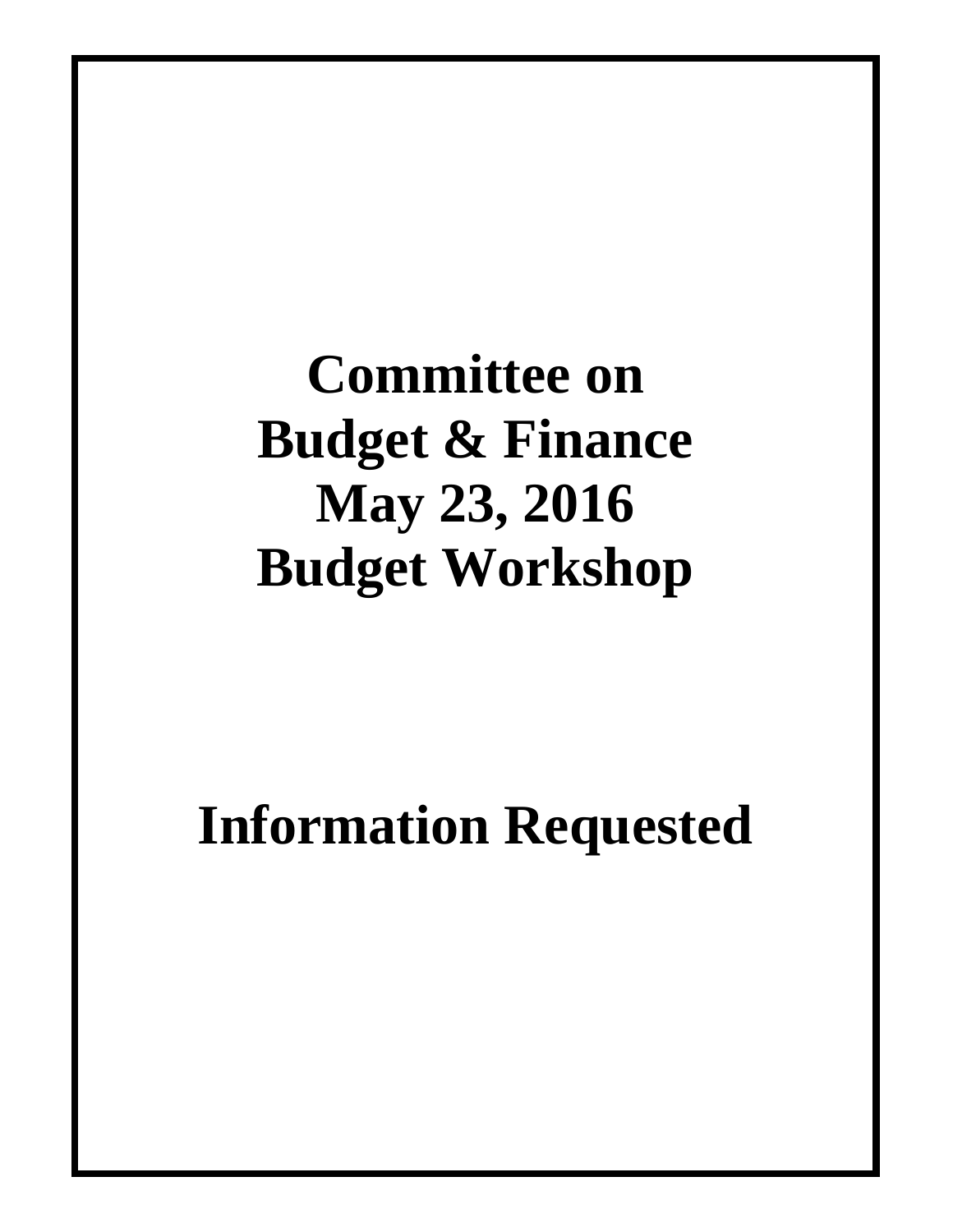**Committee on Budget & Finance May 23, 2016 Budget Workshop**

#### **Information Requested**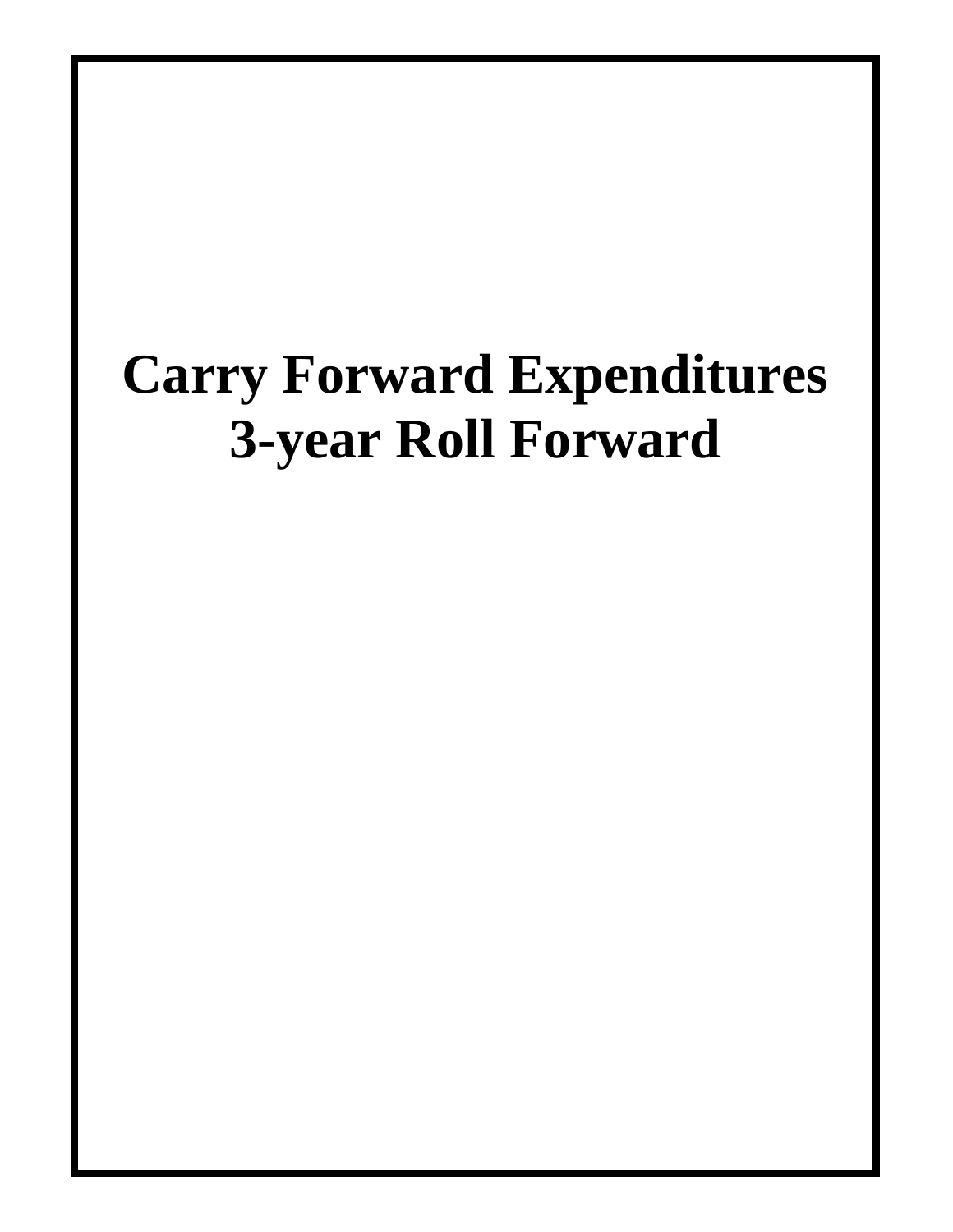## **Carry Forward Expenditures 3-year Roll Forward**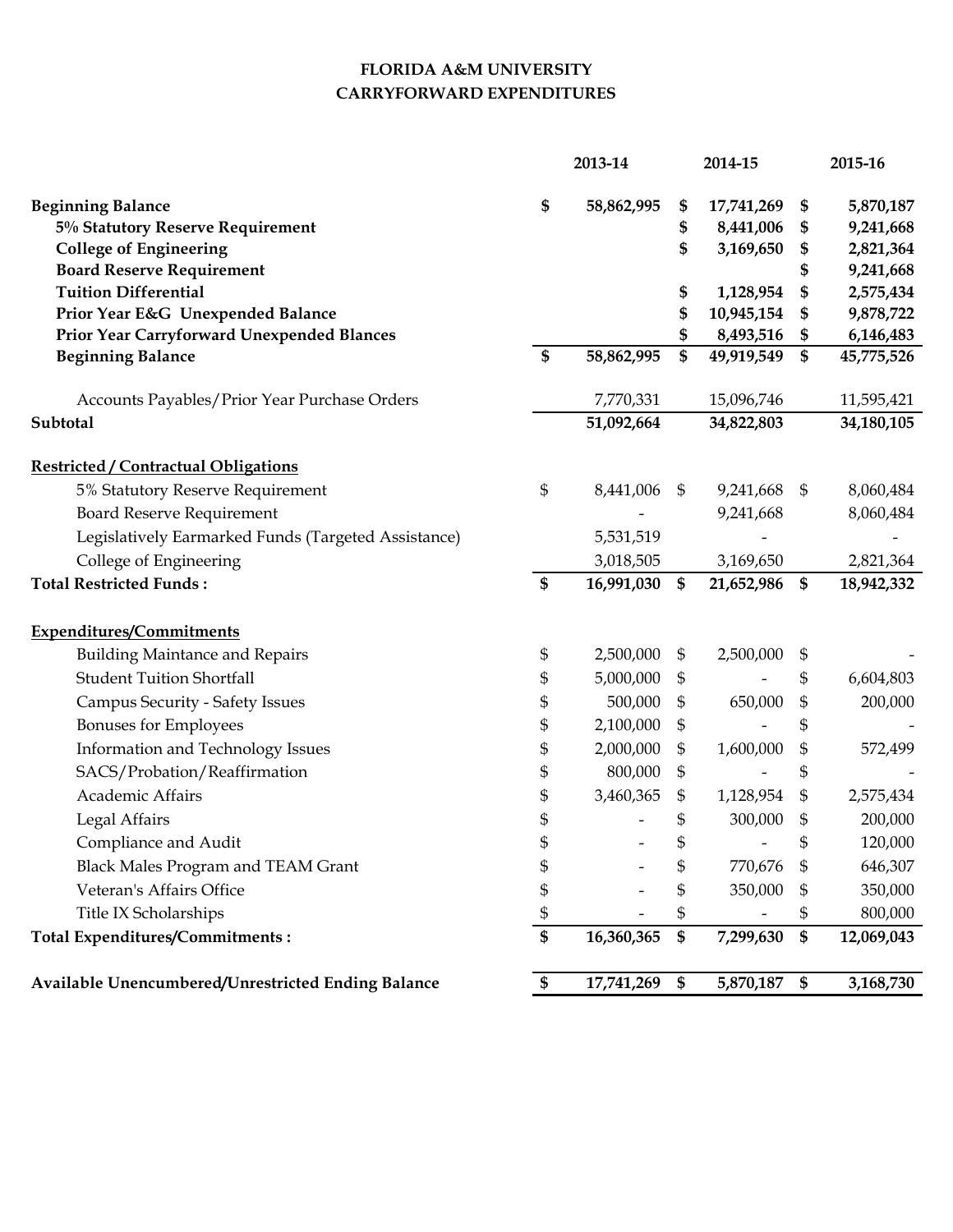#### **FLORIDA A&M UNIVERSITY CARRYFORWARD EXPENDITURES**

|                                                     |    | 2013-14       |                           | 2014-15    | 2015-16 |            |
|-----------------------------------------------------|----|---------------|---------------------------|------------|---------|------------|
| <b>Beginning Balance</b>                            | \$ | 58,862,995    | \$                        | 17,741,269 | \$      | 5,870,187  |
| 5% Statutory Reserve Requirement                    |    |               | \$                        | 8,441,006  | \$      | 9,241,668  |
| <b>College of Engineering</b>                       |    |               | \$                        | 3,169,650  | \$      | 2,821,364  |
| <b>Board Reserve Requirement</b>                    |    |               |                           |            | \$      | 9,241,668  |
| <b>Tuition Differential</b>                         |    |               | \$                        | 1,128,954  | \$      | 2,575,434  |
| Prior Year E&G Unexpended Balance                   |    |               | \$                        | 10,945,154 | \$      | 9,878,722  |
| Prior Year Carryforward Unexpended Blances          |    |               |                           | 8,493,516  | \$      | 6,146,483  |
| <b>Beginning Balance</b>                            | \$ | 58,862,995    | \$                        | 49,919,549 | \$      | 45,775,526 |
| Accounts Payables/Prior Year Purchase Orders        |    | 7,770,331     |                           | 15,096,746 |         | 11,595,421 |
| Subtotal                                            |    | 51,092,664    |                           | 34,822,803 |         | 34,180,105 |
| <b>Restricted / Contractual Obligations</b>         |    |               |                           |            |         |            |
| 5% Statutory Reserve Requirement                    | \$ | 8,441,006     | $\mathfrak{S}$            | 9,241,668  | \$      | 8,060,484  |
| <b>Board Reserve Requirement</b>                    |    |               |                           | 9,241,668  |         | 8,060,484  |
| Legislatively Earmarked Funds (Targeted Assistance) |    | 5,531,519     |                           |            |         |            |
| College of Engineering                              |    | 3,018,505     |                           | 3,169,650  |         | 2,821,364  |
| <b>Total Restricted Funds:</b>                      | \$ | 16,991,030 \$ |                           | 21,652,986 | \$      | 18,942,332 |
| <b>Expenditures/Commitments</b>                     |    |               |                           |            |         |            |
| <b>Building Maintance and Repairs</b>               | \$ | 2,500,000     | \$                        | 2,500,000  | \$      |            |
| <b>Student Tuition Shortfall</b>                    | \$ | 5,000,000     | \$                        |            | \$      | 6,604,803  |
| <b>Campus Security - Safety Issues</b>              | \$ | 500,000       | \$                        | 650,000    | \$      | 200,000    |
| Bonuses for Employees                               | \$ | 2,100,000     | \$                        |            | \$      |            |
| Information and Technology Issues                   | \$ | 2,000,000     | \$                        | 1,600,000  |         | 572,499    |
| SACS/Probation/Reaffirmation                        | \$ | 800,000       | \$                        |            | \$      |            |
| Academic Affairs                                    | \$ | 3,460,365     | \$                        | 1,128,954  | \$      | 2,575,434  |
| Legal Affairs                                       | \$ |               | \$                        | 300,000    | \$      | 200,000    |
| Compliance and Audit                                | \$ |               | \$                        |            | \$      | 120,000    |
| <b>Black Males Program and TEAM Grant</b>           | \$ |               | \$                        | 770,676    | \$      | 646,307    |
| Veteran's Affairs Office                            | \$ |               | \$                        | 350,000    |         | 350,000    |
| Title IX Scholarships                               | \$ |               | \$                        |            | \$      | 800,000    |
| Total Expenditures/Commitments:                     | \$ | 16,360,365    | $\boldsymbol{\$}$         | 7,299,630  | \$      | 12,069,043 |
| Available Unencumbered/Unrestricted Ending Balance  | \$ | 17,741,269    | $\boldsymbol{\mathsf{s}}$ | 5,870,187  | \$      | 3,168,730  |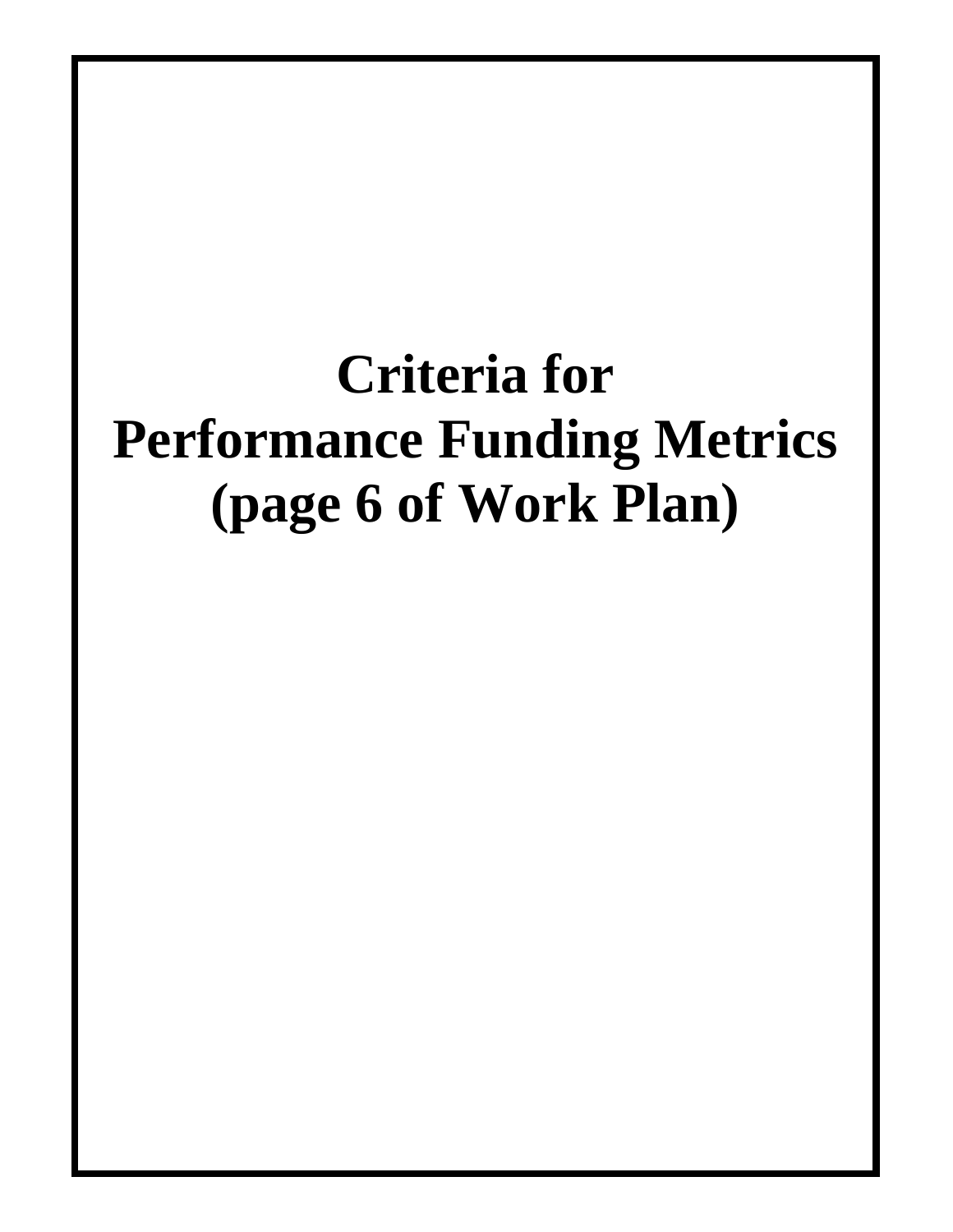# **Criteria for Performance Funding Metrics (page 6 of Work Plan)**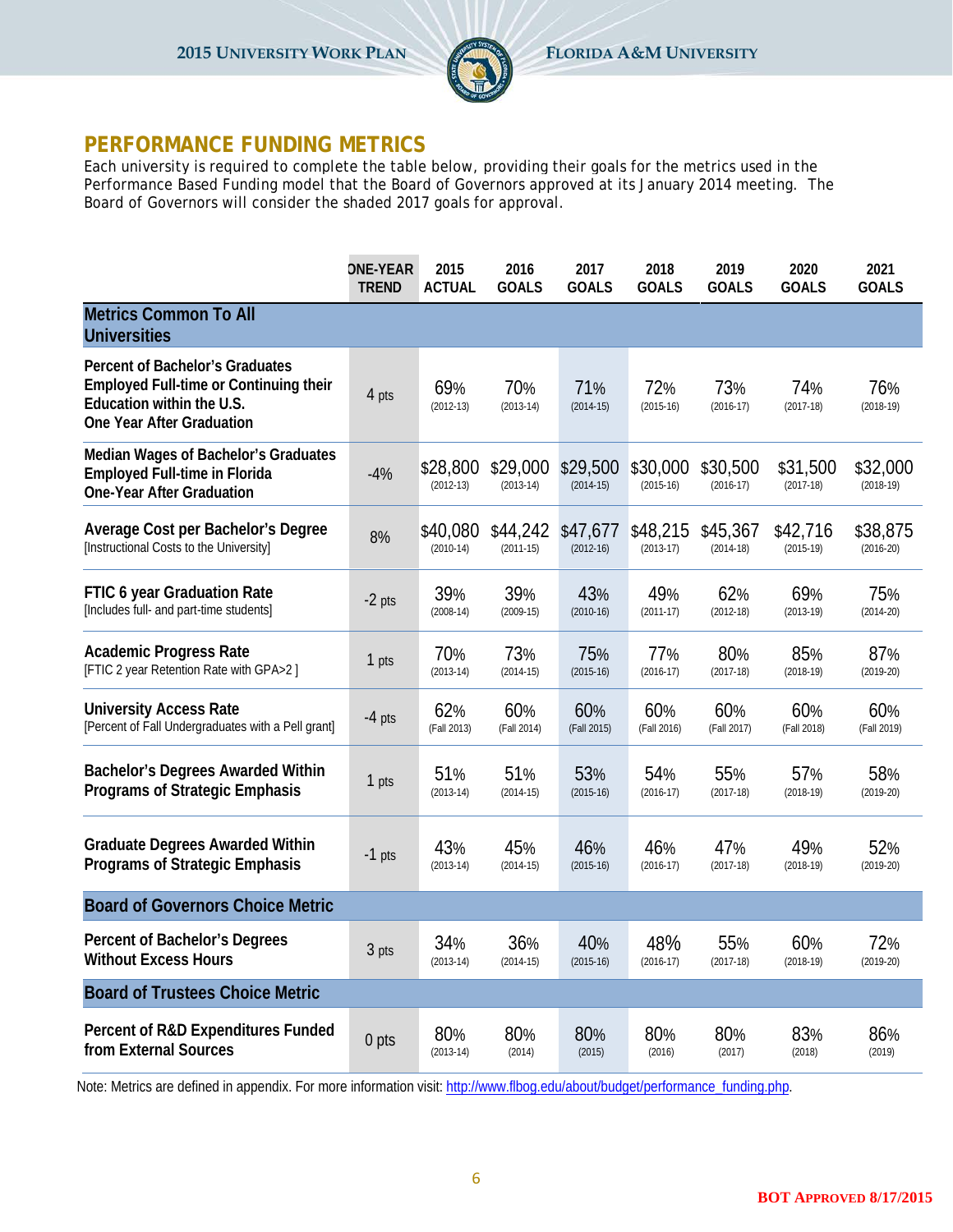

#### **PERFORMANCE FUNDING METRICS**

Each university is required to complete the table below, providing their goals for the metrics used in the Performance Based Funding model that the Board of Governors approved at its January 2014 meeting. The Board of Governors will consider the shaded 2017 goals for approval.

|                                                                                                                                            | <b>ONE-YEAR</b> | 2015                    | 2016                    | 2017                    | 2018                    | 2019                    | 2020                    | 2021                    |
|--------------------------------------------------------------------------------------------------------------------------------------------|-----------------|-------------------------|-------------------------|-------------------------|-------------------------|-------------------------|-------------------------|-------------------------|
|                                                                                                                                            | <b>TREND</b>    | <b>ACTUAL</b>           | <b>GOALS</b>            | <b>GOALS</b>            | <b>GOALS</b>            | <b>GOALS</b>            | <b>GOALS</b>            | <b>GOALS</b>            |
| <b>Metrics Common To All</b><br><b>Universities</b>                                                                                        |                 |                         |                         |                         |                         |                         |                         |                         |
| Percent of Bachelor's Graduates<br><b>Employed Full-time or Continuing their</b><br>Education within the U.S.<br>One Year After Graduation | 4 pts           | 69%<br>$(2012-13)$      | 70%<br>$(2013-14)$      | 71%<br>$(2014-15)$      | 72%<br>$(2015-16)$      | 73%<br>$(2016 - 17)$    | 74%<br>$(2017-18)$      | 76%<br>$(2018-19)$      |
| <b>Median Wages of Bachelor's Graduates</b><br><b>Employed Full-time in Florida</b><br><b>One-Year After Graduation</b>                    | $-4%$           | \$28,800<br>$(2012-13)$ | \$29,000<br>$(2013-14)$ | \$29,500<br>$(2014-15)$ | \$30,000<br>$(2015-16)$ | \$30,500<br>$(2016-17)$ | \$31,500<br>$(2017-18)$ | \$32,000<br>$(2018-19)$ |
| Average Cost per Bachelor's Degree                                                                                                         | 8%              | \$40,080                | \$44,242                | \$47,677                | \$48,215                | \$45,367                | \$42,716                | \$38,875                |
| [Instructional Costs to the University]                                                                                                    |                 | $(2010-14)$             | $(2011-15)$             | $(2012-16)$             | $(2013-17)$             | $(2014-18)$             | $(2015-19)$             | $(2016 - 20)$           |
| FTIC 6 year Graduation Rate                                                                                                                | $-2$ pts        | 39%                     | 39%                     | 43%                     | 49%                     | 62%                     | 69%                     | 75%                     |
| [Includes full- and part-time students]                                                                                                    |                 | $(2008-14)$             | $(2009-15)$             | $(2010-16)$             | $(2011-17)$             | $(2012-18)$             | $(2013-19)$             | $(2014-20)$             |
| <b>Academic Progress Rate</b>                                                                                                              | 1 pts           | 70%                     | 73%                     | 75%                     | 77%                     | 80%                     | 85%                     | 87%                     |
| [FTIC 2 year Retention Rate with GPA>2]                                                                                                    |                 | $(2013-14)$             | $(2014-15)$             | $(2015-16)$             | $(2016-17)$             | $(2017-18)$             | $(2018-19)$             | $(2019-20)$             |
| <b>University Access Rate</b>                                                                                                              | $-4$ pts        | 62%                     | 60%                     | 60%                     | 60%                     | 60%                     | 60%                     | 60%                     |
| [Percent of Fall Undergraduates with a Pell grant]                                                                                         |                 | (Fall 2013)             | (Fall 2014)             | (Fall 2015)             | (Fall 2016)             | (Fall 2017)             | (Fall 2018)             | (Fall 2019)             |
| <b>Bachelor's Degrees Awarded Within</b>                                                                                                   | 1 pts           | 51%                     | 51%                     | 53%                     | 54%                     | 55%                     | 57%                     | 58%                     |
| <b>Programs of Strategic Emphasis</b>                                                                                                      |                 | $(2013-14)$             | $(2014-15)$             | $(2015-16)$             | $(2016-17)$             | $(2017-18)$             | $(2018-19)$             | $(2019-20)$             |
| <b>Graduate Degrees Awarded Within</b>                                                                                                     | $-1$ pts        | 43%                     | 45%                     | 46%                     | 46%                     | 47%                     | 49%                     | 52%                     |
| <b>Programs of Strategic Emphasis</b>                                                                                                      |                 | $(2013-14)$             | $(2014-15)$             | $(2015-16)$             | $(2016 - 17)$           | $(2017-18)$             | $(2018-19)$             | $(2019-20)$             |
| <b>Board of Governors Choice Metric</b>                                                                                                    |                 |                         |                         |                         |                         |                         |                         |                         |
| Percent of Bachelor's Degrees                                                                                                              | 3 pts           | 34%                     | 36%                     | 40%                     | 48%                     | 55%                     | 60%                     | 72%                     |
| <b>Without Excess Hours</b>                                                                                                                |                 | $(2013-14)$             | $(2014-15)$             | $(2015-16)$             | $(2016-17)$             | $(2017-18)$             | $(2018-19)$             | $(2019-20)$             |
| <b>Board of Trustees Choice Metric</b>                                                                                                     |                 |                         |                         |                         |                         |                         |                         |                         |
| Percent of R&D Expenditures Funded                                                                                                         | 0 pts           | 80%                     | 80%                     | 80%                     | 80%                     | 80%                     | 83%                     | 86%                     |
| from External Sources                                                                                                                      |                 | $(2013-14)$             | (2014)                  | (2015)                  | (2016)                  | (2017)                  | (2018)                  | (2019)                  |

Note: Metrics are defined in appendix. For more information visit: [http://www.flbog.edu/about/budget/performance\\_funding.php.](http://www.flbog.edu/about/budget/performance_funding.php)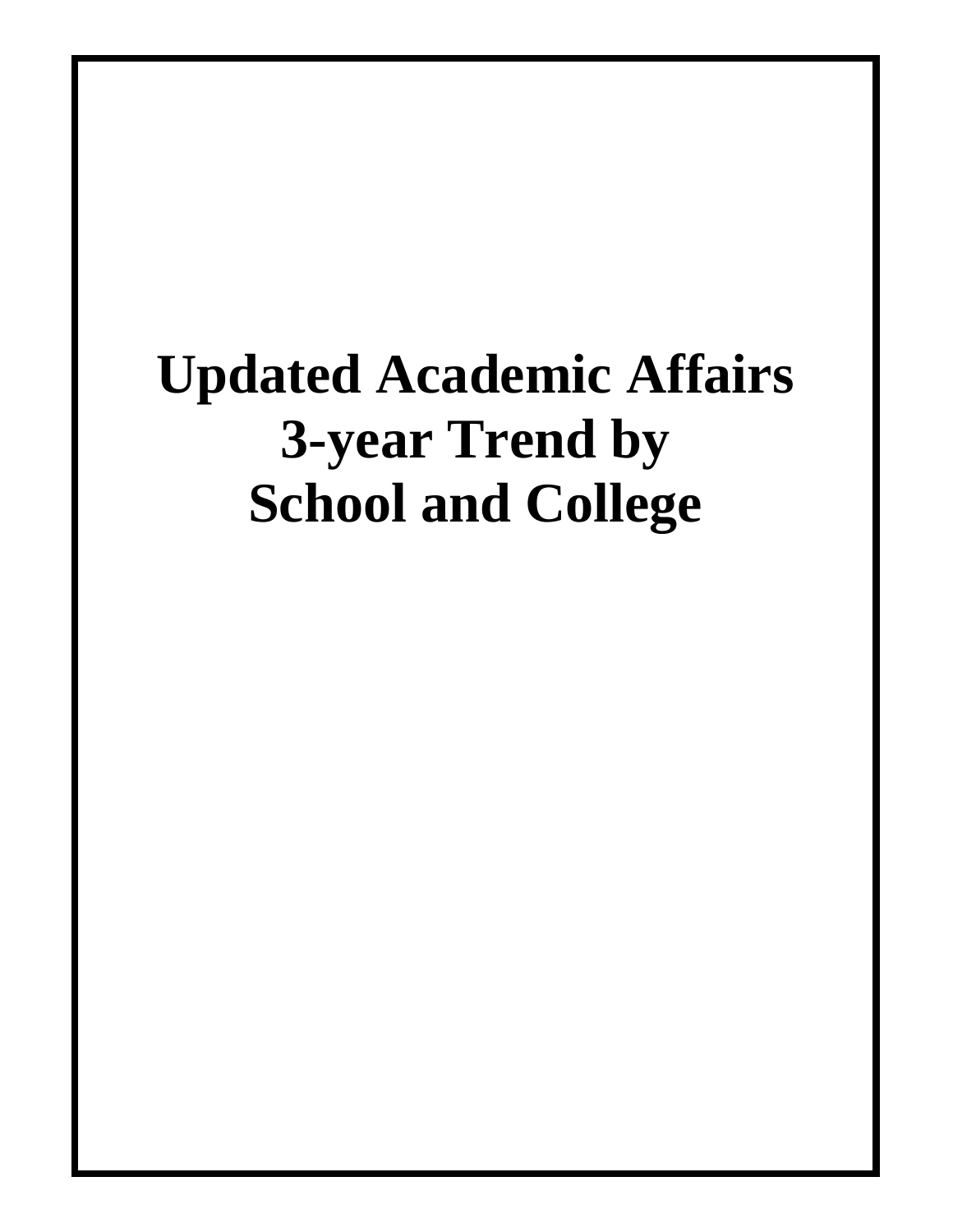# **Updated Academic Affairs 3-year Trend by School and College**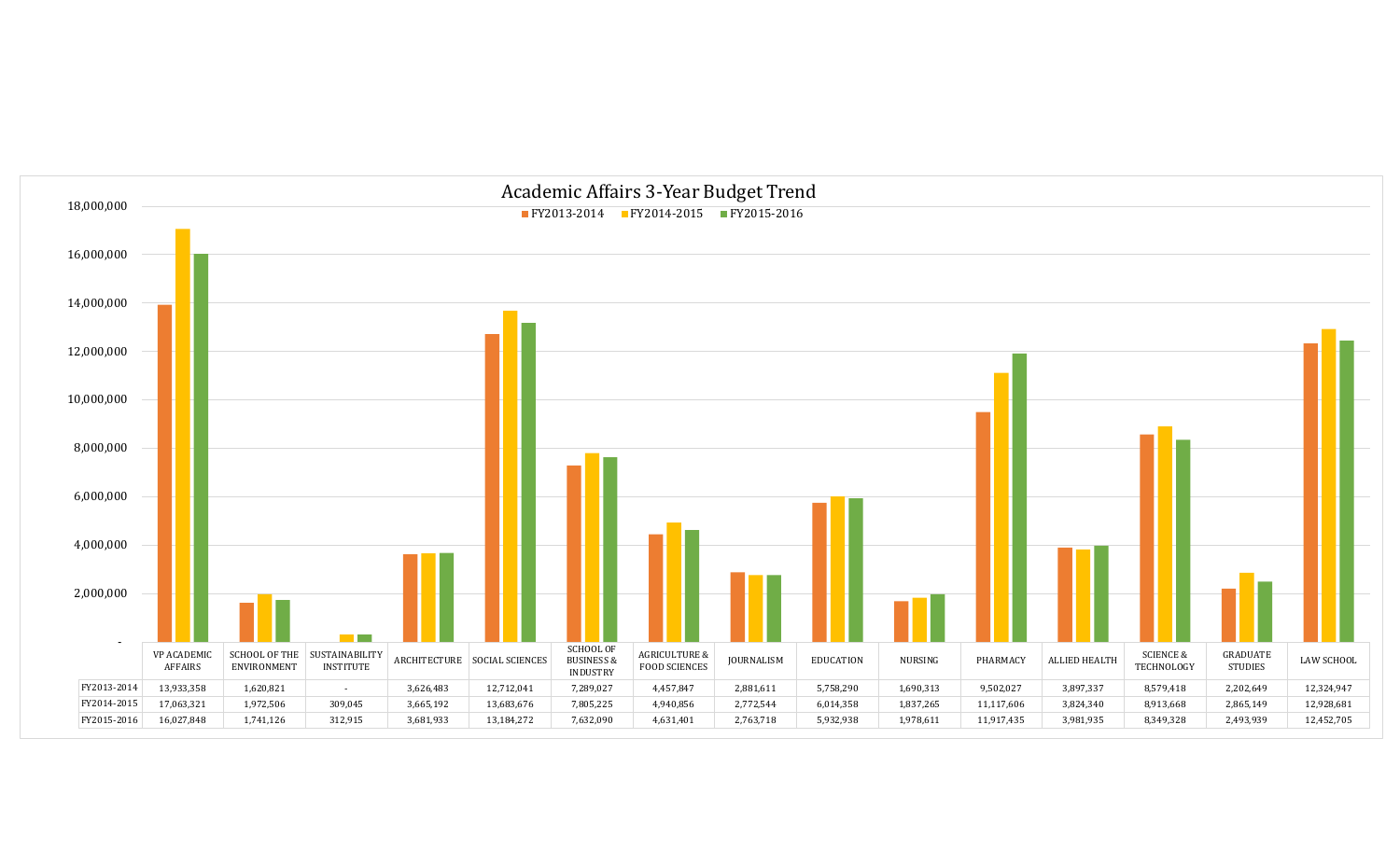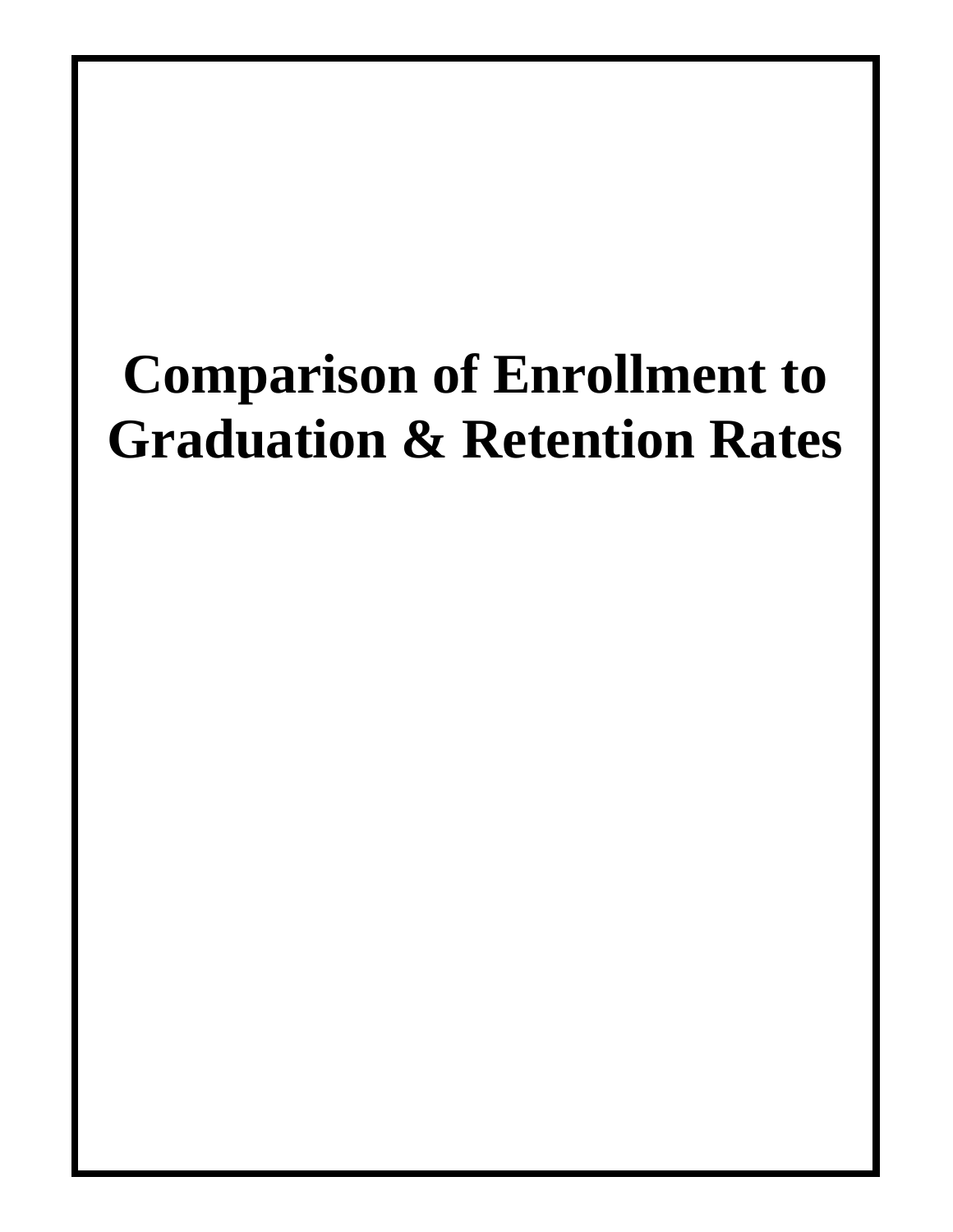# **Comparison of Enrollment to Graduation & Retention Rates**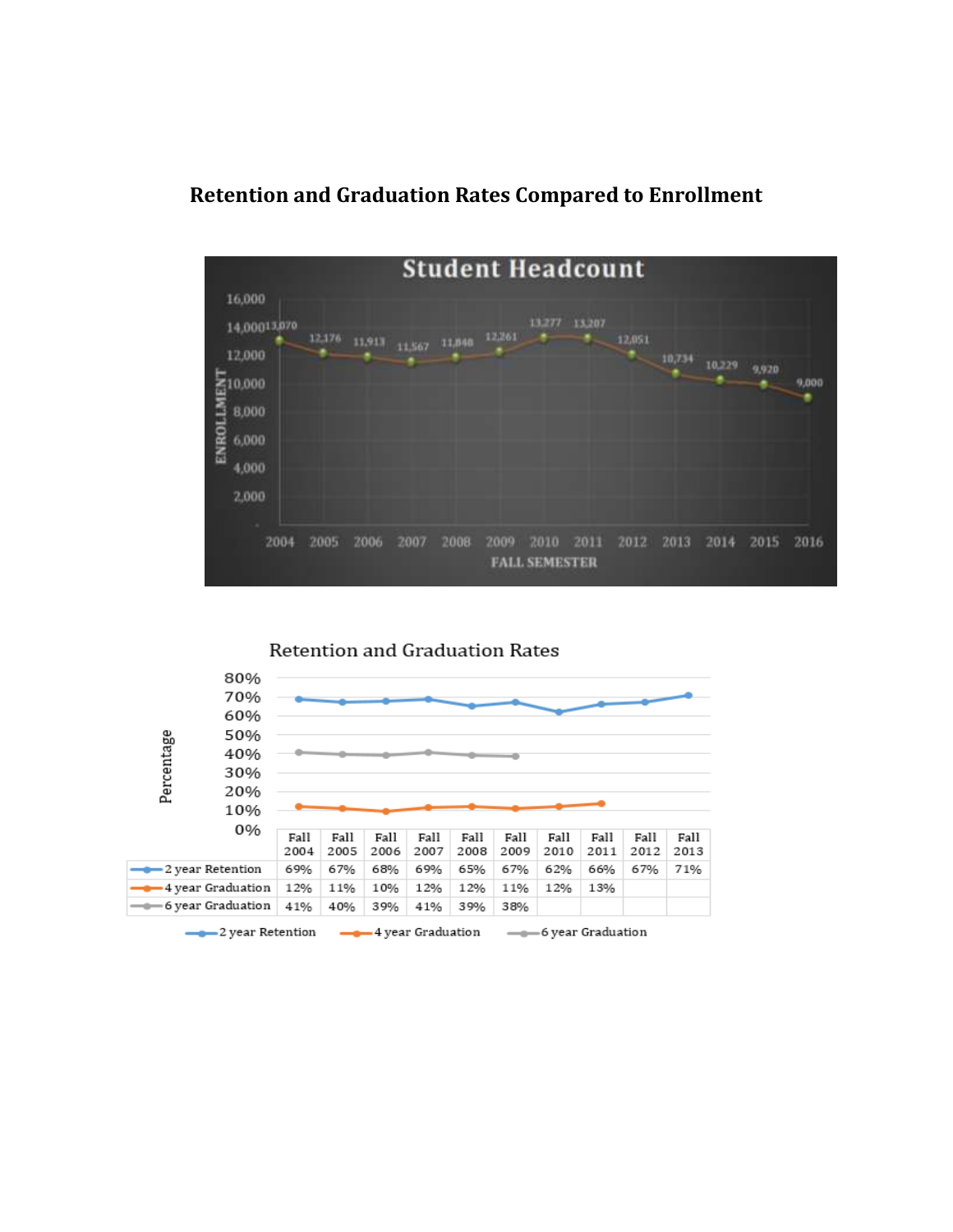#### **Retention and Graduation Rates Compared to Enrollment**



Retention and Graduation Rates

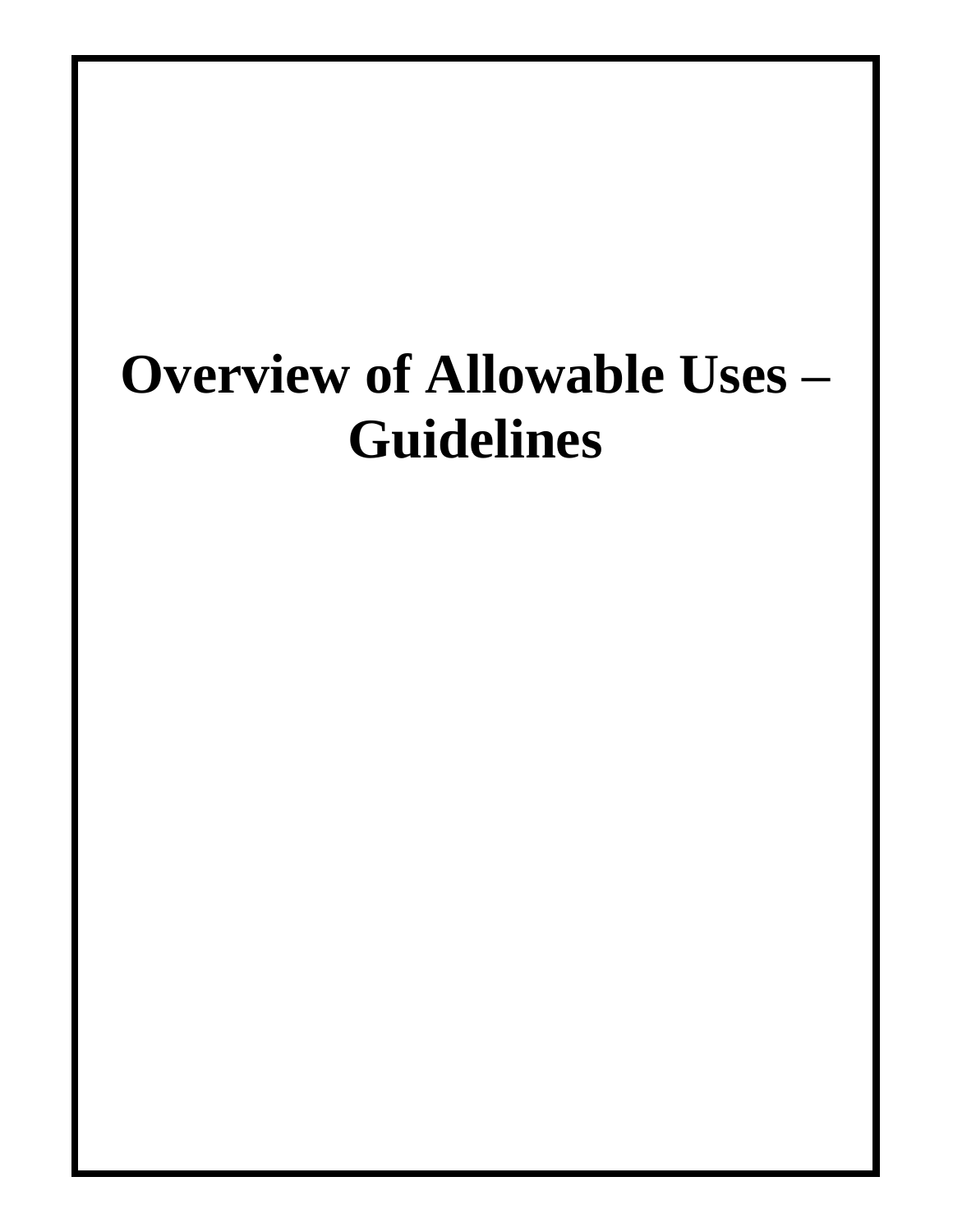# **Overview of Allowable Uses – Guidelines**